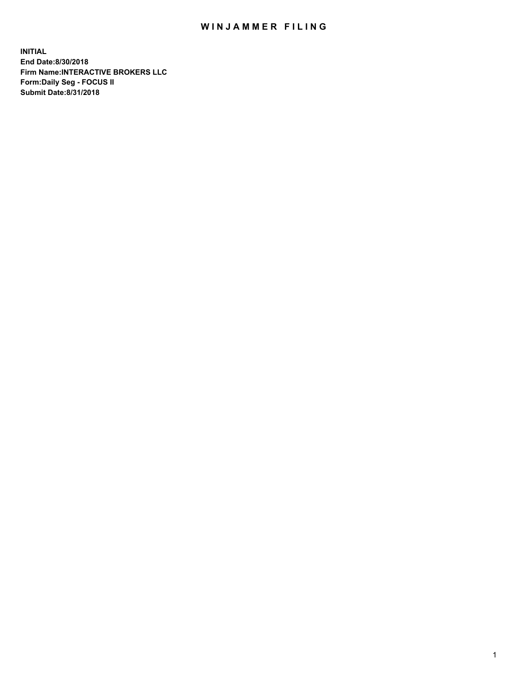## WIN JAMMER FILING

**INITIAL End Date:8/30/2018 Firm Name:INTERACTIVE BROKERS LLC Form:Daily Seg - FOCUS II Submit Date:8/31/2018**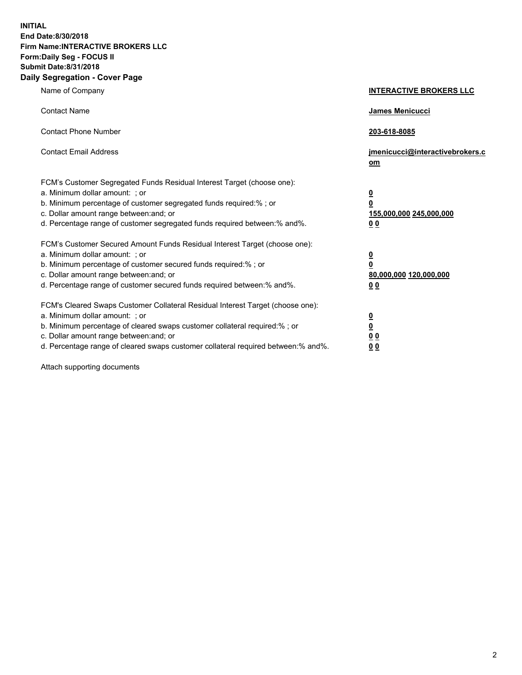**INITIAL End Date:8/30/2018 Firm Name:INTERACTIVE BROKERS LLC Form:Daily Seg - FOCUS II Submit Date:8/31/2018 Daily Segregation - Cover Page**

| Name of Company                                                                                                                                                                                                                                                                                                                | <b>INTERACTIVE BROKERS LLC</b>                                                                  |
|--------------------------------------------------------------------------------------------------------------------------------------------------------------------------------------------------------------------------------------------------------------------------------------------------------------------------------|-------------------------------------------------------------------------------------------------|
| <b>Contact Name</b>                                                                                                                                                                                                                                                                                                            | James Menicucci                                                                                 |
| <b>Contact Phone Number</b>                                                                                                                                                                                                                                                                                                    | 203-618-8085                                                                                    |
| <b>Contact Email Address</b>                                                                                                                                                                                                                                                                                                   | jmenicucci@interactivebrokers.c<br>om                                                           |
| FCM's Customer Segregated Funds Residual Interest Target (choose one):<br>a. Minimum dollar amount: ; or<br>b. Minimum percentage of customer segregated funds required:% ; or<br>c. Dollar amount range between: and; or<br>d. Percentage range of customer segregated funds required between:% and%.                         | $\overline{\mathbf{0}}$<br>$\overline{\mathbf{0}}$<br>155,000,000 245,000,000<br>0 <sub>0</sub> |
| FCM's Customer Secured Amount Funds Residual Interest Target (choose one):<br>a. Minimum dollar amount: ; or<br>b. Minimum percentage of customer secured funds required:% ; or<br>c. Dollar amount range between: and; or<br>d. Percentage range of customer secured funds required between:% and%.                           | $\overline{\mathbf{0}}$<br>0<br>80,000,000 120,000,000<br>0 <sub>0</sub>                        |
| FCM's Cleared Swaps Customer Collateral Residual Interest Target (choose one):<br>a. Minimum dollar amount: ; or<br>b. Minimum percentage of cleared swaps customer collateral required:% ; or<br>c. Dollar amount range between: and; or<br>d. Percentage range of cleared swaps customer collateral required between:% and%. | $\overline{\mathbf{0}}$<br><u>0</u><br>$\underline{0}$ $\underline{0}$<br>00                    |

Attach supporting documents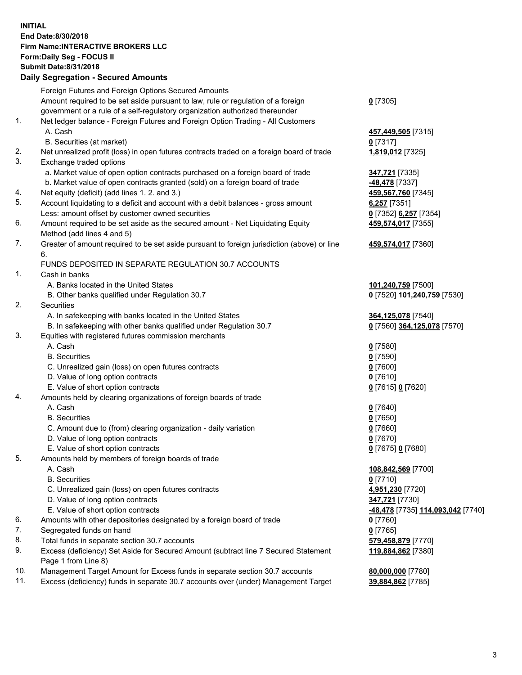## **INITIAL End Date:8/30/2018 Firm Name:INTERACTIVE BROKERS LLC Form:Daily Seg - FOCUS II Submit Date:8/31/2018 Daily Segregation - Secured Amounts**

|     | Dany Ocgregation - oceaned Anioante                                                               |                                  |
|-----|---------------------------------------------------------------------------------------------------|----------------------------------|
|     | Foreign Futures and Foreign Options Secured Amounts                                               |                                  |
|     | Amount required to be set aside pursuant to law, rule or regulation of a foreign                  | $0$ [7305]                       |
|     | government or a rule of a self-regulatory organization authorized thereunder                      |                                  |
| 1.  | Net ledger balance - Foreign Futures and Foreign Option Trading - All Customers                   |                                  |
|     | A. Cash                                                                                           | 457,449,505 [7315]               |
|     | B. Securities (at market)                                                                         | $0$ [7317]                       |
| 2.  | Net unrealized profit (loss) in open futures contracts traded on a foreign board of trade         | 1,819,012 [7325]                 |
| 3.  | Exchange traded options                                                                           |                                  |
|     | a. Market value of open option contracts purchased on a foreign board of trade                    | 347,721 [7335]                   |
|     | b. Market value of open contracts granted (sold) on a foreign board of trade                      | -48,478 [7337]                   |
| 4.  | Net equity (deficit) (add lines 1.2. and 3.)                                                      | 459,567,760 [7345]               |
| 5.  | Account liquidating to a deficit and account with a debit balances - gross amount                 | $6,257$ [7351]                   |
|     | Less: amount offset by customer owned securities                                                  | 0 [7352] 6,257 [7354]            |
| 6.  | Amount required to be set aside as the secured amount - Net Liquidating Equity                    | 459,574,017 [7355]               |
|     | Method (add lines 4 and 5)                                                                        |                                  |
| 7.  | Greater of amount required to be set aside pursuant to foreign jurisdiction (above) or line<br>6. | 459,574,017 [7360]               |
|     | FUNDS DEPOSITED IN SEPARATE REGULATION 30.7 ACCOUNTS                                              |                                  |
| 1.  | Cash in banks                                                                                     |                                  |
|     | A. Banks located in the United States                                                             | 101,240,759 [7500]               |
|     | B. Other banks qualified under Regulation 30.7                                                    | 0 [7520] 101,240,759 [7530]      |
| 2.  | Securities                                                                                        |                                  |
|     | A. In safekeeping with banks located in the United States                                         | 364,125,078 [7540]               |
|     | B. In safekeeping with other banks qualified under Regulation 30.7                                | 0 [7560] 364,125,078 [7570]      |
| 3.  | Equities with registered futures commission merchants                                             |                                  |
|     | A. Cash                                                                                           | $0$ [7580]                       |
|     | <b>B.</b> Securities                                                                              | $0$ [7590]                       |
|     | C. Unrealized gain (loss) on open futures contracts                                               | $0$ [7600]                       |
|     | D. Value of long option contracts                                                                 | $0$ [7610]                       |
|     | E. Value of short option contracts                                                                | 0 [7615] 0 [7620]                |
| 4.  | Amounts held by clearing organizations of foreign boards of trade                                 |                                  |
|     | A. Cash                                                                                           | $0$ [7640]                       |
|     | <b>B.</b> Securities                                                                              | $0$ [7650]                       |
|     | C. Amount due to (from) clearing organization - daily variation                                   | $0$ [7660]                       |
|     | D. Value of long option contracts                                                                 | $0$ [7670]                       |
|     | E. Value of short option contracts                                                                | 0 [7675] 0 [7680]                |
| 5.  | Amounts held by members of foreign boards of trade                                                |                                  |
|     | A. Cash                                                                                           | 108,842,569 [7700]               |
|     | <b>B.</b> Securities                                                                              | $0$ [7710]                       |
|     | C. Unrealized gain (loss) on open futures contracts                                               | 4,951,230 [7720]                 |
|     | D. Value of long option contracts                                                                 | 347,721 [7730]                   |
|     | E. Value of short option contracts                                                                | 48,478 [7735] 114,093,042 [7740] |
| 6.  | Amounts with other depositories designated by a foreign board of trade                            | 0 [7760]                         |
| 7.  | Segregated funds on hand                                                                          | $0$ [7765]                       |
| 8.  | Total funds in separate section 30.7 accounts                                                     | 579,458,879 [7770]               |
| 9.  | Excess (deficiency) Set Aside for Secured Amount (subtract line 7 Secured Statement               | 119,884,862 [7380]               |
|     | Page 1 from Line 8)                                                                               |                                  |
| 10. | Management Target Amount for Excess funds in separate section 30.7 accounts                       | 80,000,000 [7780]                |
| 11. | Excess (deficiency) funds in separate 30.7 accounts over (under) Management Target                | 39,884,862 [7785]                |
|     |                                                                                                   |                                  |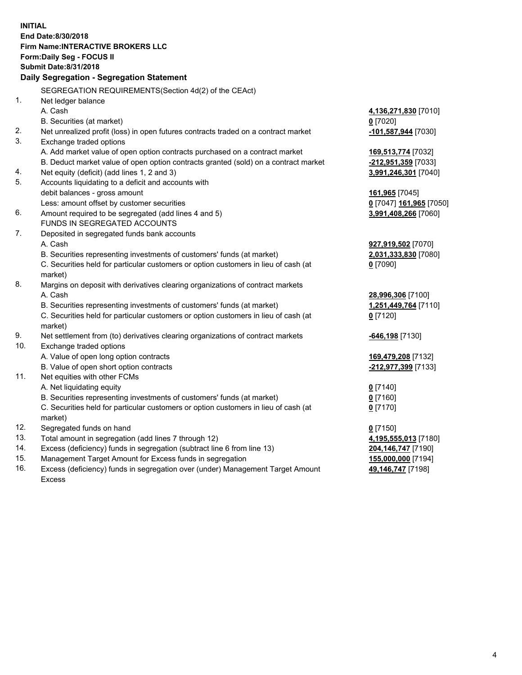**INITIAL End Date:8/30/2018 Firm Name:INTERACTIVE BROKERS LLC Form:Daily Seg - FOCUS II Submit Date:8/31/2018 Daily Segregation - Segregation Statement** SEGREGATION REQUIREMENTS(Section 4d(2) of the CEAct) 1. Net ledger balance A. Cash **4,136,271,830** [7010] B. Securities (at market) **0** [7020] 2. Net unrealized profit (loss) in open futures contracts traded on a contract market **-101,587,944** [7030] 3. Exchange traded options A. Add market value of open option contracts purchased on a contract market **169,513,774** [7032] B. Deduct market value of open option contracts granted (sold) on a contract market **-212,951,359** [7033] 4. Net equity (deficit) (add lines 1, 2 and 3) **3,991,246,301** [7040] 5. Accounts liquidating to a deficit and accounts with debit balances - gross amount **161,965** [7045] Less: amount offset by customer securities **0** [7047] **161,965** [7050] 6. Amount required to be segregated (add lines 4 and 5) **3,991,408,266** [7060] FUNDS IN SEGREGATED ACCOUNTS 7. Deposited in segregated funds bank accounts A. Cash **927,919,502** [7070] B. Securities representing investments of customers' funds (at market) **2,031,333,830** [7080] C. Securities held for particular customers or option customers in lieu of cash (at market) **0** [7090] 8. Margins on deposit with derivatives clearing organizations of contract markets A. Cash **28,996,306** [7100] B. Securities representing investments of customers' funds (at market) **1,251,449,764** [7110] C. Securities held for particular customers or option customers in lieu of cash (at market) **0** [7120] 9. Net settlement from (to) derivatives clearing organizations of contract markets **-646,198** [7130] 10. Exchange traded options A. Value of open long option contracts **169,479,208** [7132] B. Value of open short option contracts **-212,977,399** [7133] 11. Net equities with other FCMs A. Net liquidating equity **0** [7140] B. Securities representing investments of customers' funds (at market) **0** [7160] C. Securities held for particular customers or option customers in lieu of cash (at market) **0** [7170] 12. Segregated funds on hand **0** [7150] 13. Total amount in segregation (add lines 7 through 12) **4,195,555,013** [7180] 14. Excess (deficiency) funds in segregation (subtract line 6 from line 13) **204,146,747** [7190] 15. Management Target Amount for Excess funds in segregation **155,000,000** [7194] **49,146,747** [7198]

16. Excess (deficiency) funds in segregation over (under) Management Target Amount Excess